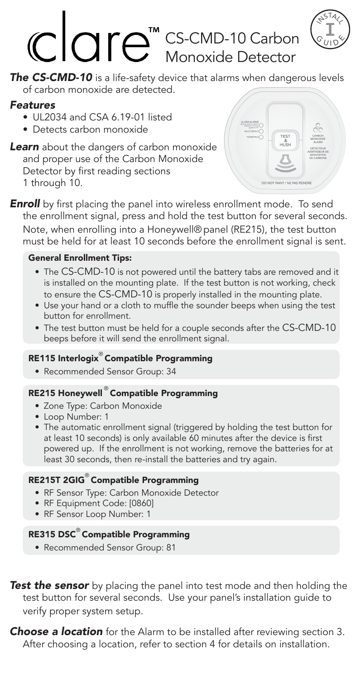# **CS-CMD-10 Carbon**  $\left(\begin{array}{c} \circ \\ \circ \\ \circ \end{array}\right)$ Monoxide Detector

*The CS-CMD-10* is a life-safety device that alarms when dangerous levels of carbon monoxide are detected.

## *Features*

- UL2034 and CSA 6.19-01 listed
- Detects carbon monoxide
- **Learn** about the dangers of carbon monoxide and proper use of the Carbon Monoxide Detector by first reading sections 1 through 10.



 $\leftrightarrow$ <sup>514</sup>

 $\mathcal{S}$   $\mathcal{G}^{-}$ -<br>10Y

**Enroll** by first placing the panel into wireless enrollment mode. To send the enrollment signal, press and hold the test button for several seconds. Note, when enrolling into a Honeywell® panel (RE215), the test button must be held for at least 10 seconds before the enrollment signal is sent.

#### General Enrollment Tips:

- The CS-CMD-10 is not powered until the battery tabs are removed and it is installed on the mounting plate. If the test button is not working, check to ensure the CS-CMD-10 is properly installed in the mounting plate.
- Use your hand or a cloth to muffle the sounder beeps when using the test button for enrollment.
- The test button must be held for a couple seconds after the CS-CMD-10 beeps before it will send the enrollment signal.

#### RE115 Interlogix® Compatible Programming

• Recommended Sensor Group: 34

## RE215 Honeywell ® Compatible Programming

- Zone Type: Carbon Monoxide
- Loop Number: 1
- The automatic enrollment signal (triggered by holding the test button for at least 10 seconds) is only available 60 minutes after the device is first powered up. If the enrollment is not working, remove the batteries for at least 30 seconds, then re-install the batteries and try again.

#### RE215T 2GIG® Compatible Programming

- RF Sensor Type: Carbon Monoxide Detector
- RF Equipment Code: [0860]
- RF Sensor Loop Number: 1

#### RE315 DSC® Compatible Programming

• Recommended Sensor Group: 81

**Test the sensor** by placing the panel into test mode and then holding the test button for several seconds. Use your panel's installation guide to verify proper system setup.

*Choose a location* for the Alarm to be installed after reviewing section 3. After choosing a location, refer to section 4 for details on installation.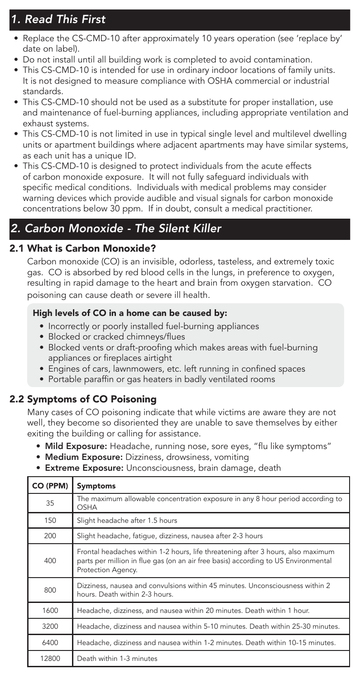# *1. Read This First*

- Replace the CS-CMD-10 after approximately 10 years operation (see 'replace by' date on label).
- Do not install until all building work is completed to avoid contamination.
- This CS-CMD-10 is intended for use in ordinary indoor locations of family units. It is not designed to measure compliance with OSHA commercial or industrial standards.
- This CS-CMD-10 should not be used as a substitute for proper installation, use and maintenance of fuel-burning appliances, including appropriate ventilation and exhaust systems.
- This CS-CMD-10 is not limited in use in typical single level and multilevel dwelling units or apartment buildings where adjacent apartments may have similar systems, as each unit has a unique ID.
- This CS-CMD-10 is designed to protect individuals from the acute effects of carbon monoxide exposure. It will not fully safeguard individuals with specific medical conditions. Individuals with medical problems may consider warning devices which provide audible and visual signals for carbon monoxide concentrations below 30 ppm. If in doubt, consult a medical practitioner.

# *2. Carbon Monoxide - The Silent Killer*

#### 2.1 What is Carbon Monoxide?

Carbon monoxide (CO) is an invisible, odorless, tasteless, and extremely toxic gas. CO is absorbed by red blood cells in the lungs, in preference to oxygen, resulting in rapid damage to the heart and brain from oxygen starvation. CO poisoning can cause death or severe ill health.

#### High levels of CO in a home can be caused by:

- Incorrectly or poorly installed fuel-burning appliances
- Blocked or cracked chimneys/flues
- Blocked vents or draft-proofing which makes areas with fuel-burning appliances or fireplaces airtight
- Engines of cars, lawnmowers, etc. left running in confined spaces
- Portable paraffin or gas heaters in badly ventilated rooms

#### 2.2 Symptoms of CO Poisoning

Many cases of CO poisoning indicate that while victims are aware they are not well, they become so disoriented they are unable to save themselves by either exiting the building or calling for assistance.

- Mild Exposure: Headache, running nose, sore eyes, "flu like symptoms"
- Medium Exposure: Dizziness, drowsiness, vomiting
- Extreme Exposure: Unconsciousness, brain damage, death

| CO (PPM) | <b>Symptoms</b>                                                                                                                                                                              |
|----------|----------------------------------------------------------------------------------------------------------------------------------------------------------------------------------------------|
| 35       | The maximum allowable concentration exposure in any 8 hour period according to<br>OSHA                                                                                                       |
| 150      | Slight headache after 1.5 hours                                                                                                                                                              |
| 200      | Slight headache, fatique, dizziness, nausea after 2-3 hours                                                                                                                                  |
| 400      | Frontal headaches within 1-2 hours, life threatening after 3 hours, also maximum<br>parts per million in flue gas (on an air free basis) according to US Environmental<br>Protection Agency. |
| 800      | Dizziness, nausea and convulsions within 45 minutes. Unconsciousness within 2<br>hours. Death within 2-3 hours.                                                                              |
| 1600     | Headache, dizziness, and nausea within 20 minutes. Death within 1 hour.                                                                                                                      |
| 3200     | Headache, dizziness and nausea within 5-10 minutes. Death within 25-30 minutes.                                                                                                              |
| 6400     | Headache, dizziness and nausea within 1-2 minutes. Death within 10-15 minutes.                                                                                                               |
| 12800    | Death within 1-3 minutes                                                                                                                                                                     |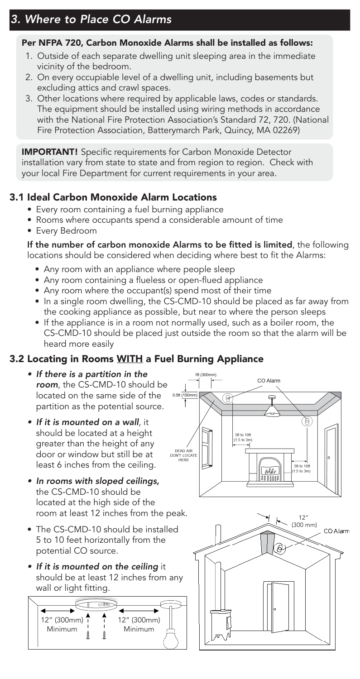#### Per NFPA 720, Carbon Monoxide Alarms shall be installed as follows:

- 1. Outside of each separate dwelling unit sleeping area in the immediate vicinity of the bedroom.
- 2. On every occupiable level of a dwelling unit, including basements but excluding attics and crawl spaces.
- 3. Other locations where required by applicable laws, codes or standards. The equipment should be installed using wiring methods in accordance with the National Fire Protection Association's Standard 72, 720. (National Fire Protection Association, Batterymarch Park, Quincy, MA 02269)

**IMPORTANT!** Specific requirements for Carbon Monoxide Detector installation vary from state to state and from region to region. Check with your local Fire Department for current requirements in your area.

## 3.1 Ideal Carbon Monoxide Alarm Locations

- Every room containing a fuel burning appliance
- Rooms where occupants spend a considerable amount of time
- Every Bedroom

#### If the number of carbon monoxide Alarms to be fitted is limited, the following locations should be considered when deciding where best to fit the Alarms:

- Any room with an appliance where people sleep
- Any room containing a flueless or open-flued appliance
- Any room where the occupant(s) spend most of their time
- In a single room dwelling, the CS-CMD-10 should be placed as far away from the cooking appliance as possible, but near to where the person sleeps
- If the appliance is in a room not normally used, such as a boiler room, the CS-CMD-10 should be placed just outside the room so that the alarm will be heard more easily

## 3.2 Locating in Rooms WITH a Fuel Burning Appliance

- *• If there is a partition in the room*, the CS-CMD-10 should be located on the same side of the partition as the potential source.
- *• If it is mounted on a wall*, it should be located at a height greater than the height of any door or window but still be at least 6 inches from the ceiling.
- *• In rooms with sloped ceilings,* the CS-CMD-10 should be located at the high side of the room at least 12 inches from the peak.
- The CS-CMD-10 should be installed 5 to 10 feet horizontally from the potential CO source.
- *• If it is mounted on the ceiling* it should be at least 12 inches from any wall or light fitting.





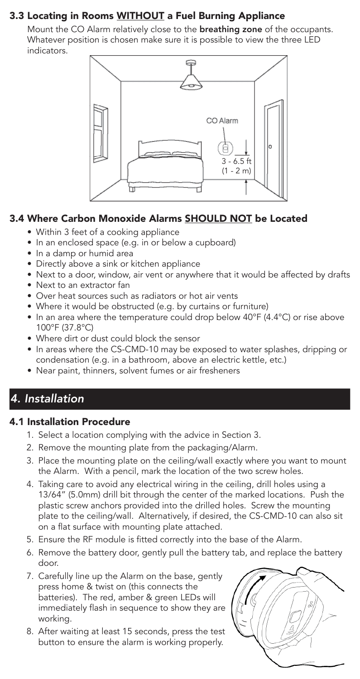## 3.3 Locating in Rooms WITHOUT a Fuel Burning Appliance

Mount the CO Alarm relatively close to the **breathing zone** of the occupants. Whatever position is chosen make sure it is possible to view the three LED indicators.



## 3.4 Where Carbon Monoxide Alarms SHOULD NOT be Located

- Within 3 feet of a cooking appliance
- In an enclosed space (e.g. in or below a cupboard)
- In a damp or humid area
- Directly above a sink or kitchen appliance
- Next to a door, window, air vent or anywhere that it would be affected by drafts
- Next to an extractor fan
- Over heat sources such as radiators or hot air vents
- Where it would be obstructed (e.g. by curtains or furniture)
- In an area where the temperature could drop below 40°F (4.4°C) or rise above 100°F (37.8°C)
- Where dirt or dust could block the sensor
- In areas where the CS-CMD-10 may be exposed to water splashes, dripping or condensation (e.g. in a bathroom, above an electric kettle, etc.)
- Near paint, thinners, solvent fumes or air fresheners

# *4. Installation*

#### 4.1 Installation Procedure

- 1. Select a location complying with the advice in Section 3.
- 2. Remove the mounting plate from the packaging/Alarm.
- 3. Place the mounting plate on the ceiling/wall exactly where you want to mount the Alarm. With a pencil, mark the location of the two screw holes.
- 4. Taking care to avoid any electrical wiring in the ceiling, drill holes using a 13/64" (5.0mm) drill bit through the center of the marked locations. Push the plastic screw anchors provided into the drilled holes. Screw the mounting plate to the ceiling/wall. Alternatively, if desired, the CS-CMD-10 can also sit on a flat surface with mounting plate attached.
- 5. Ensure the RF module is fitted correctly into the base of the Alarm.
- 6. Remove the battery door, gently pull the battery tab, and replace the battery door.
- 7. Carefully line up the Alarm on the base, gently press home & twist on (this connects the batteries). The red, amber & green LEDs will immediately flash in sequence to show they are working.
- 8. After waiting at least 15 seconds, press the test button to ensure the alarm is working properly.

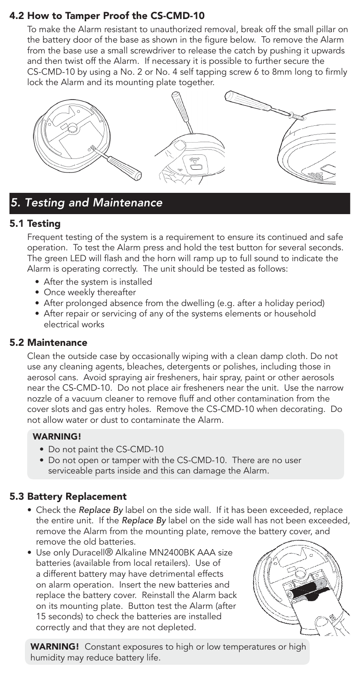## 4.2 How to Tamper Proof the CS-CMD-10

To make the Alarm resistant to unauthorized removal, break off the small pillar on the battery door of the base as shown in the figure below. To remove the Alarm from the base use a small screwdriver to release the catch by pushing it upwards and then twist off the Alarm. If necessary it is possible to further secure the CS-CMD-10 by using a No. 2 or No. 4 self tapping screw 6 to 8mm long to firmly lock the Alarm and its mounting plate together.



## *5. Testing and Maintenance*

#### 5.1 Testing

Frequent testing of the system is a requirement to ensure its continued and safe operation. To test the Alarm press and hold the test button for several seconds. The green LED will flash and the horn will ramp up to full sound to indicate the Alarm is operating correctly. The unit should be tested as follows:

- After the system is installed
- Once weekly thereafter
- After prolonged absence from the dwelling (e.g. after a holiday period)
- After repair or servicing of any of the systems elements or household electrical works

#### 5.2 Maintenance

Clean the outside case by occasionally wiping with a clean damp cloth. Do not use any cleaning agents, bleaches, detergents or polishes, including those in aerosol cans. Avoid spraying air fresheners, hair spray, paint or other aerosols near the CS-CMD-10. Do not place air fresheners near the unit. Use the narrow nozzle of a vacuum cleaner to remove fluff and other contamination from the cover slots and gas entry holes. Remove the CS-CMD-10 when decorating. Do not allow water or dust to contaminate the Alarm.

#### WARNING!

- Do not paint the CS-CMD-10
- Do not open or tamper with the CS-CMD-10. There are no user serviceable parts inside and this can damage the Alarm.

#### 5.3 Battery Replacement

- Check the *Replace By* label on the side wall. If it has been exceeded, replace the entire unit. If the *Replace By* label on the side wall has not been exceeded, remove the Alarm from the mounting plate, remove the battery cover, and remove the old batteries.
- Use only Duracell® Alkaline MN2400BK AAA size batteries (available from local retailers). Use of a different battery may have detrimental effects on alarm operation. Insert the new batteries and replace the battery cover. Reinstall the Alarm back on its mounting plate. Button test the Alarm (after 15 seconds) to check the batteries are installed correctly and that they are not depleted.



**WARNING!** Constant exposures to high or low temperatures or high humidity may reduce battery life.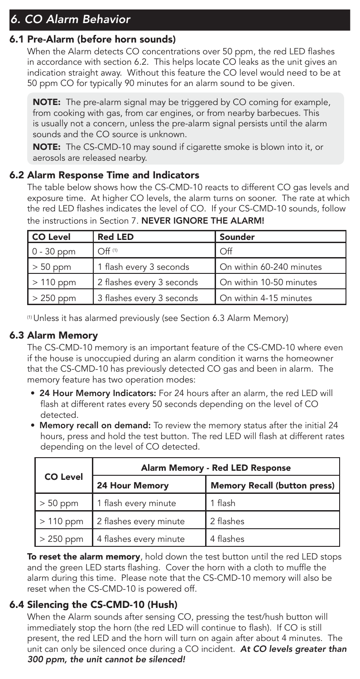# *6. CO Alarm Behavior*

#### 6.1 Pre-Alarm (before horn sounds)

When the Alarm detects CO concentrations over 50 ppm, the red LED flashes in accordance with section 6.2. This helps locate CO leaks as the unit gives an indication straight away. Without this feature the CO level would need to be at 50 ppm CO for typically 90 minutes for an alarm sound to be given.

**NOTE:** The pre-alarm signal may be triggered by CO coming for example, from cooking with gas, from car engines, or from nearby barbecues. This is usually not a concern, unless the pre-alarm signal persists until the alarm sounds and the CO source is unknown.

NOTE:The CS-CMD-10 may sound if cigarette smoke is blown into it, or aerosols are released nearby.

#### 6.2 Alarm Response Time and Indicators

The table below shows how the CS-CMD-10 reacts to different CO gas levels and exposure time. At higher CO levels, the alarm turns on sooner. The rate at which the red LED flashes indicates the level of CO. If your CS-CMD-10 sounds, follow the instructions in Section 7. NEVER IGNORE THE ALARM!

| <b>CO Level</b> | <b>Red LED</b>            | Sounder                  |
|-----------------|---------------------------|--------------------------|
| $0 - 30$ ppm    | $Off$ <sup>(1)</sup>      | $\Omega$                 |
| $> 50$ ppm      | 1 flash every 3 seconds   | On within 60-240 minutes |
| $>110$ ppm      | 2 flashes every 3 seconds | On within 10-50 minutes  |
| $>250$ ppm      | 3 flashes every 3 seconds | On within 4-15 minutes   |

(1) Unless it has alarmed previously (see Section 6.3 Alarm Memory)

#### 6.3 Alarm Memory

The CS-CMD-10 memory is an important feature of the CS-CMD-10 where even if the house is unoccupied during an alarm condition it warns the homeowner that the CS-CMD-10 has previously detected CO gas and been in alarm. The memory feature has two operation modes:

- 24 Hour Memory Indicators: For 24 hours after an alarm, the red LED will flash at different rates every 50 seconds depending on the level of CO detected.
- Memory recall on demand: To review the memory status after the initial 24 hours, press and hold the test button. The red LED will flash at different rates depending on the level of CO detected.

|                 | Alarm Memory - Red LED Response |                              |  |  |
|-----------------|---------------------------------|------------------------------|--|--|
| <b>CO Level</b> | 24 Hour Memory                  | Memory Recall (button press) |  |  |
| $> 50$ ppm      | 1 flash every minute            | 1 flash                      |  |  |
| $>110$ ppm      | 2 flashes every minute          | 2 flashes                    |  |  |
| > 250 ppm       | 4 flashes every minute          | 4 flashes                    |  |  |

To reset the alarm memory, hold down the test button until the red LED stops and the green LED starts flashing. Cover the horn with a cloth to muffle the alarm during this time. Please note that the CS-CMD-10 memory will also be reset when the CS-CMD-10 is powered off.

#### 6.4 Silencing the CS-CMD-10 (Hush)

When the Alarm sounds after sensing CO, pressing the test/hush button will immediately stop the horn (the red LED will continue to flash). If CO is still present, the red LED and the horn will turn on again after about 4 minutes. The unit can only be silenced once during a CO incident. *At CO levels greater than 300 ppm, the unit cannot be silenced!*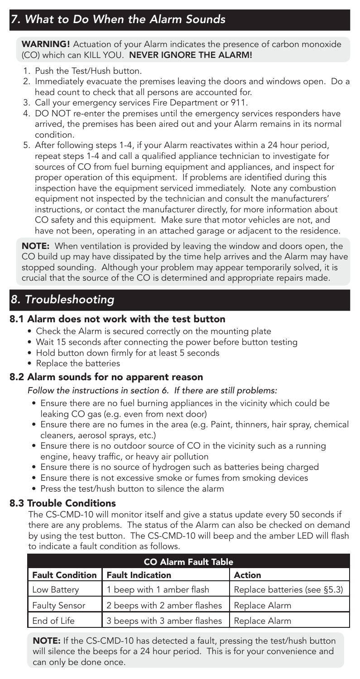# *7. What to Do When the Alarm Sounds*

WARNING! Actuation of your Alarm indicates the presence of carbon monoxide (CO) which can KILL YOU. NEVER IGNORE THE ALARM!

- 1. Push the Test/Hush button.
- 2. Immediately evacuate the premises leaving the doors and windows open. Do a head count to check that all persons are accounted for.
- 3. Call your emergency services Fire Department or 911.
- 4. DO NOT re-enter the premises until the emergency services responders have arrived, the premises has been aired out and your Alarm remains in its normal condition.
- 5. After following steps 1-4, if your Alarm reactivates within a 24 hour period, repeat steps 1-4 and call a qualified appliance technician to investigate for sources of CO from fuel burning equipment and appliances, and inspect for proper operation of this equipment. If problems are identified during this inspection have the equipment serviced immediately. Note any combustion equipment not inspected by the technician and consult the manufacturers' instructions, or contact the manufacturer directly, for more information about CO safety and this equipment. Make sure that motor vehicles are not, and have not been, operating in an attached garage or adjacent to the residence.

NOTE: When ventilation is provided by leaving the window and doors open, the CO build up may have dissipated by the time help arrives and the Alarm may have stopped sounding. Although your problem may appear temporarily solved, it is crucial that the source of the CO is determined and appropriate repairs made.

## *8. Troubleshooting*

#### 8.1 Alarm does not work with the test button

- Check the Alarm is secured correctly on the mounting plate
- Wait 15 seconds after connecting the power before button testing
- Hold button down firmly for at least 5 seconds
- Replace the batteries

#### 8.2 Alarm sounds for no apparent reason

*Follow the instructions in section 6. If there are still problems:*

- Ensure there are no fuel burning appliances in the vicinity which could be leaking CO gas (e.g. even from next door)
- Ensure there are no fumes in the area (e.g. Paint, thinners, hair spray, chemical cleaners, aerosol sprays, etc.)
- Ensure there is no outdoor source of CO in the vicinity such as a running engine, heavy traffic, or heavy air pollution
- Ensure there is no source of hydrogen such as batteries being charged
- Ensure there is not excessive smoke or fumes from smoking devices
- Press the test/hush button to silence the alarm

#### 8.3 Trouble Conditions

The CS-CMD-10 will monitor itself and give a status update every 50 seconds if there are any problems. The status of the Alarm can also be checked on demand by using the test button. The CS-CMD-10 will beep and the amber LED will flash to indicate a fault condition as follows.

| <b>CO Alarm Fault Table</b> |                              |                              |  |
|-----------------------------|------------------------------|------------------------------|--|
| <b>Fault Condition</b>      | Fault Indication             | <b>Action</b>                |  |
| Low Battery                 | 1 beep with 1 amber flash    | Replace batteries (see §5.3) |  |
| <b>Faulty Sensor</b>        | 2 beeps with 2 amber flashes | Replace Alarm                |  |
| End of Life                 | 3 beeps with 3 amber flashes | Replace Alarm                |  |

NOTE: If the CS-CMD-10 has detected a fault, pressing the test/hush button will silence the beeps for a 24 hour period. This is for your convenience and can only be done once.